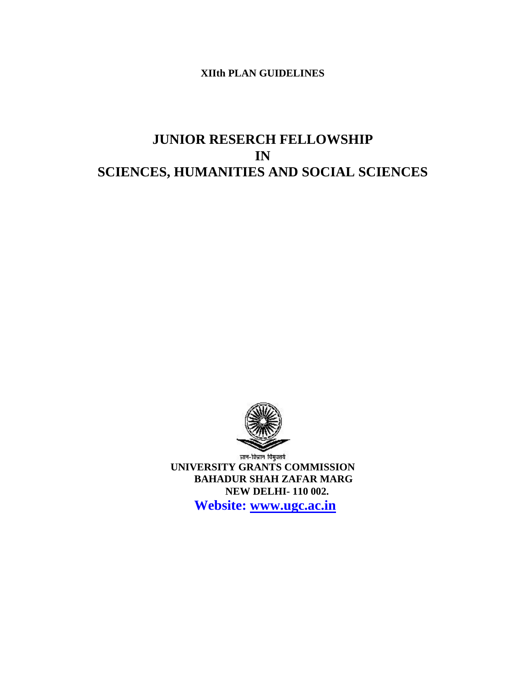# **XIIth PLAN GUIDELINES**

# **JUNIOR RESERCH FELLOWSHIP IN SCIENCES, HUMANITIES AND SOCIAL SCIENCES**



**UNIVERSITY GRANTS COMMISSION BAHADUR SHAH ZAFAR MARG NEW DELHI- 110 002.**

**Website: [www.ugc.ac.in](http://www.ugc.ac.in/)**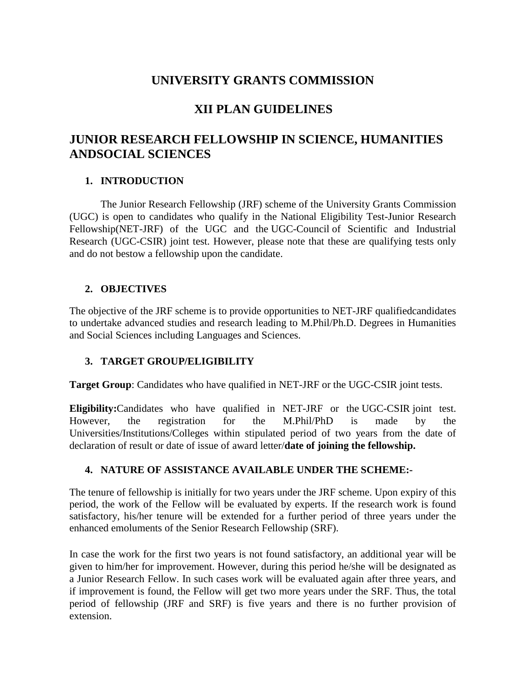# **UNIVERSITY GRANTS COMMISSION**

# **XII PLAN GUIDELINES**

# **JUNIOR RESEARCH FELLOWSHIP IN SCIENCE, HUMANITIES ANDSOCIAL SCIENCES**

# **1. INTRODUCTION**

The Junior Research Fellowship (JRF) scheme of the University Grants Commission (UGC) is open to candidates who qualify in the National Eligibility Test-Junior Research Fellowship(NET-JRF) of the UGC and the UGC-Council of Scientific and Industrial Research (UGC-CSIR) joint test. However, please note that these are qualifying tests only and do not bestow a fellowship upon the candidate.

# **2. OBJECTIVES**

The objective of the JRF scheme is to provide opportunities to NET-JRF qualifiedcandidates to undertake advanced studies and research leading to M.Phil/Ph.D. Degrees in Humanities and Social Sciences including Languages and Sciences.

# **3. TARGET GROUP/ELIGIBILITY**

**Target Group**: Candidates who have qualified in NET-JRF or the UGC-CSIR joint tests.

**Eligibility:**Candidates who have qualified in NET-JRF or the UGC-CSIR joint test. However, the registration for the M.Phil/PhD is made by the Universities/Institutions/Colleges within stipulated period of two years from the date of declaration of result or date of issue of award letter/**date of joining the fellowship.**

# **4. NATURE OF ASSISTANCE AVAILABLE UNDER THE SCHEME:-**

The tenure of fellowship is initially for two years under the JRF scheme. Upon expiry of this period, the work of the Fellow will be evaluated by experts. If the research work is found satisfactory, his/her tenure will be extended for a further period of three years under the enhanced emoluments of the Senior Research Fellowship (SRF).

In case the work for the first two years is not found satisfactory, an additional year will be given to him/her for improvement. However, during this period he/she will be designated as a Junior Research Fellow. In such cases work will be evaluated again after three years, and if improvement is found, the Fellow will get two more years under the SRF. Thus, the total period of fellowship (JRF and SRF) is five years and there is no further provision of extension.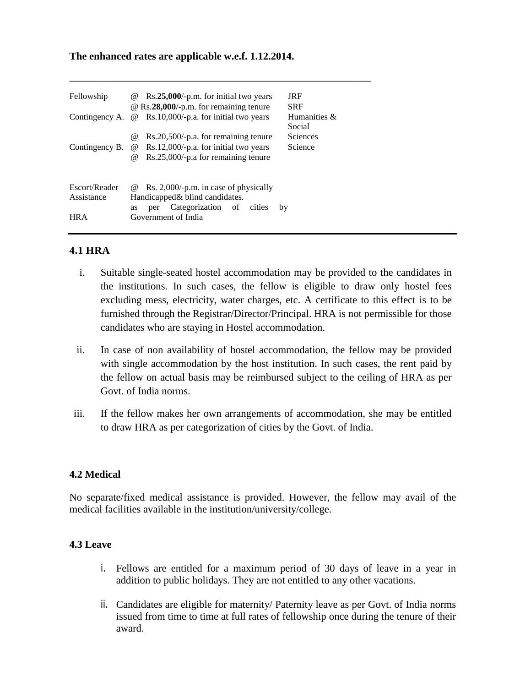#### **The enhanced rates are applicable w.e.f. 1.12.2014.**

| Fellowship     | $Rs.25,000/-p.m.$ for initial two years<br>$\omega$<br>@ Rs.28,000/-p.m. for remaining tenure | <b>JRF</b><br><b>SRF</b> |
|----------------|-----------------------------------------------------------------------------------------------|--------------------------|
| Contingency A. | Rs.10,000/-p.a. for initial two years<br>$\omega$                                             | Humanities &<br>Social   |
|                | $Rs.20,500/-p.a.$ for remaining tenure<br>$\omega$                                            | <b>Sciences</b>          |
| Contingency B. | Rs.12,000/-p.a. for initial two years<br>$\omega$                                             | Science                  |
|                | Rs.25,000/-p.a for remaining tenure<br>$\omega$                                               |                          |
| Escort/Reader  | Rs. $2,000/-p.m.$ in case of physically<br>(a)                                                |                          |
| Assistance     | Handicapped & blind candidates.                                                               |                          |
|                | Categorization of<br>cities<br>per<br>as                                                      | by                       |
| <b>HRA</b>     | Government of India                                                                           |                          |

\_\_\_\_\_\_\_\_\_\_\_\_\_\_\_\_\_\_\_\_\_\_\_\_\_\_\_\_\_\_\_\_\_\_\_\_\_\_\_\_\_\_\_\_\_\_\_\_\_\_\_\_\_\_\_\_\_\_

## **4.1 HRA**

- i. Suitable single-seated hostel accommodation may be provided to the candidates in the institutions. In such cases, the fellow is eligible to draw only hostel fees excluding mess, electricity, water charges, etc. A certificate to this effect is to be furnished through the Registrar/Director/Principal. HRA is not permissible for those candidates who are staying in Hostel accommodation.
- ii. In case of non availability of hostel accommodation, the fellow may be provided with single accommodation by the host institution. In such cases, the rent paid by the fellow on actual basis may be reimbursed subject to the ceiling of HRA as per Govt. of India norms.
- iii. If the fellow makes her own arrangements of accommodation, she may be entitled to draw HRA as per categorization of cities by the Govt. of India.

#### **4.2 Medical**

No separate/fixed medical assistance is provided. However, the fellow may avail of the medical facilities available in the institution/university/college.

## **4.3 Leave**

- i. Fellows are entitled for a maximum period of 30 days of leave in a year in addition to public holidays. They are not entitled to any other vacations.
- ii. Candidates are eligible for maternity/ Paternity leave as per Govt. of India norms issued from time to time at full rates of fellowship once during the tenure of their award.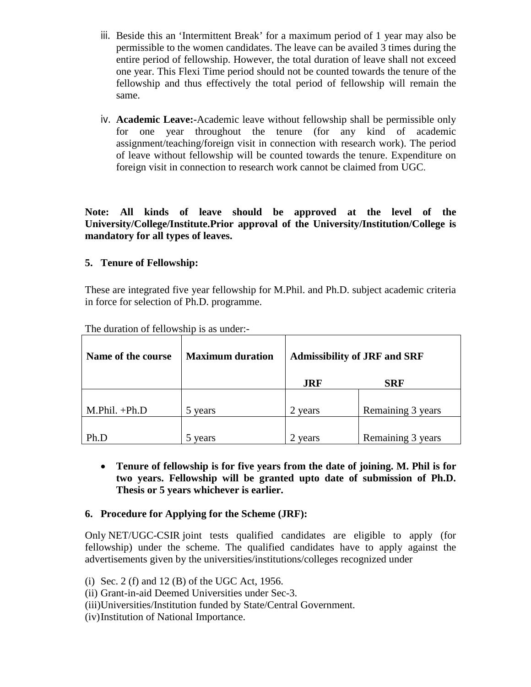- iii. Beside this an 'Intermittent Break' for a maximum period of 1 year may also be permissible to the women candidates. The leave can be availed 3 times during the entire period of fellowship. However, the total duration of leave shall not exceed one year. This Flexi Time period should not be counted towards the tenure of the fellowship and thus effectively the total period of fellowship will remain the same.
- iv. **Academic Leave:-**Academic leave without fellowship shall be permissible only for one year throughout the tenure (for any kind of academic assignment/teaching/foreign visit in connection with research work). The period of leave without fellowship will be counted towards the tenure. Expenditure on foreign visit in connection to research work cannot be claimed from UGC.

**Note: All kinds of leave should be approved at the level of the University/College/Institute.Prior approval of the University/Institution/College is mandatory for all types of leaves.**

# **5. Tenure of Fellowship:**

These are integrated five year fellowship for M.Phil. and Ph.D. subject academic criteria in force for selection of Ph.D. programme.

| Name of the course | <b>Maximum duration</b> | <b>Admissibility of JRF and SRF</b> |                   |
|--------------------|-------------------------|-------------------------------------|-------------------|
|                    |                         | <b>JRF</b>                          | <b>SRF</b>        |
|                    |                         |                                     |                   |
| $M.Phil. +Ph.D$    | 5 years                 | 2 years                             | Remaining 3 years |
|                    |                         |                                     |                   |
| Ph.D               | years                   | years                               | Remaining 3 years |

The duration of fellowship is as under:-

• **Tenure of fellowship is for five years from the date of joining. M. Phil is for two years. Fellowship will be granted upto date of submission of Ph.D. Thesis or 5 years whichever is earlier.**

# **6. Procedure for Applying for the Scheme (JRF):**

Only NET/UGC-CSIR joint tests qualified candidates are eligible to apply (for fellowship) under the scheme. The qualified candidates have to apply against the advertisements given by the universities/institutions/colleges recognized under

- (ii) Grant-in-aid Deemed Universities under Sec-3.
- (iii)Universities/Institution funded by State/Central Government.
- (iv)Institution of National Importance.

<sup>(</sup>i) Sec. 2 (f) and 12 (B) of the UGC Act, 1956.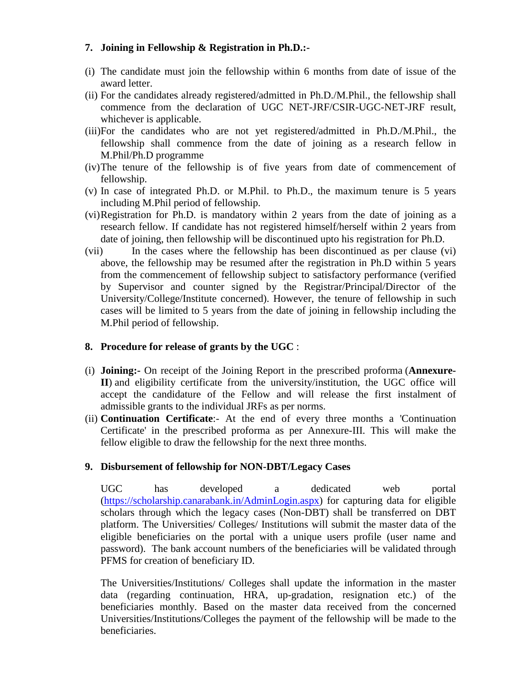# **7. Joining in Fellowship & Registration in Ph.D.:-**

- (i) The candidate must join the fellowship within 6 months from date of issue of the award letter.
- (ii) For the candidates already registered/admitted in Ph.D./M.Phil., the fellowship shall commence from the declaration of UGC NET-JRF/CSIR-UGC-NET-JRF result, whichever is applicable.
- (iii)For the candidates who are not yet registered/admitted in Ph.D./M.Phil., the fellowship shall commence from the date of joining as a research fellow in M.Phil/Ph.D programme
- (iv)The tenure of the fellowship is of five years from date of commencement of fellowship.
- (v) In case of integrated Ph.D. or M.Phil. to Ph.D., the maximum tenure is 5 years including M.Phil period of fellowship.
- (vi)Registration for Ph.D. is mandatory within 2 years from the date of joining as a research fellow. If candidate has not registered himself/herself within 2 years from date of joining, then fellowship will be discontinued upto his registration for Ph.D.
- (vii) In the cases where the fellowship has been discontinued as per clause (vi) above, the fellowship may be resumed after the registration in Ph.D within 5 years from the commencement of fellowship subject to satisfactory performance (verified by Supervisor and counter signed by the Registrar/Principal/Director of the University/College/Institute concerned). However, the tenure of fellowship in such cases will be limited to 5 years from the date of joining in fellowship including the M.Phil period of fellowship.

# **8. Procedure for release of grants by the UGC** :

- (i) **Joining:-** On receipt of the Joining Report in the prescribed proforma (**Annexure-II**) and eligibility certificate from the university/institution, the UGC office will accept the candidature of the Fellow and will release the first instalment of admissible grants to the individual JRFs as per norms.
- (ii) **Continuation Certificate**:- At the end of every three months a 'Continuation Certificate' in the prescribed proforma as per Annexure-III. This will make the fellow eligible to draw the fellowship for the next three months.

# **9. Disbursement of fellowship for NON-DBT/Legacy Cases**

UGC has developed a dedicated web portal [\(https://scholarship.canarabank.in/AdminLogin.aspx\)](https://scholarship.canarabank.in/AdminLogin.aspx) for capturing data for eligible scholars through which the legacy cases (Non-DBT) shall be transferred on DBT platform. The Universities/ Colleges/ Institutions will submit the master data of the eligible beneficiaries on the portal with a unique users profile (user name and password). The bank account numbers of the beneficiaries will be validated through PFMS for creation of beneficiary ID.

The Universities/Institutions/ Colleges shall update the information in the master data (regarding continuation, HRA, up-gradation, resignation etc.) of the beneficiaries monthly. Based on the master data received from the concerned Universities/Institutions/Colleges the payment of the fellowship will be made to the beneficiaries.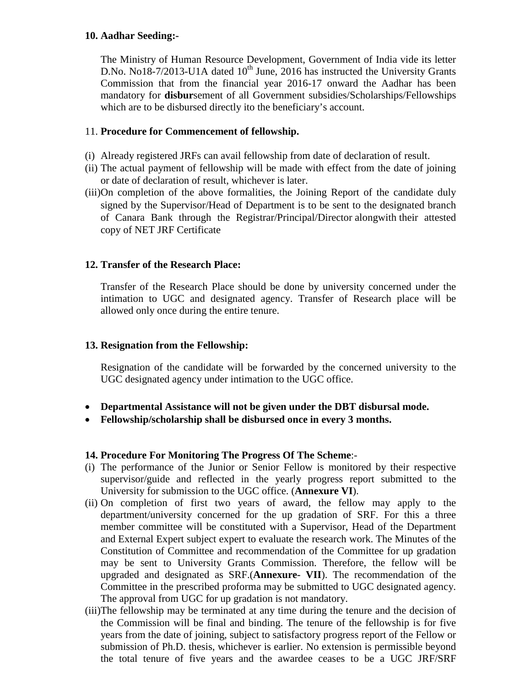# **10. Aadhar Seeding:-**

The Ministry of Human Resource Development, Government of India vide its letter D.No. No18-7/2013-U1A dated  $10^{th}$  June, 2016 has instructed the University Grants Commission that from the financial year 2016-17 onward the Aadhar has been mandatory for **disbur**sement of all Government subsidies/Scholarships/Fellowships which are to be disbursed directly ito the beneficiary's account.

# 11. **Procedure for Commencement of fellowship.**

- (i) Already registered JRFs can avail fellowship from date of declaration of result.
- (ii) The actual payment of fellowship will be made with effect from the date of joining or date of declaration of result, whichever is later.
- (iii)On completion of the above formalities, the Joining Report of the candidate duly signed by the Supervisor/Head of Department is to be sent to the designated branch of Canara Bank through the Registrar/Principal/Director alongwith their attested copy of NET JRF Certificate

## **12. Transfer of the Research Place:**

Transfer of the Research Place should be done by university concerned under the intimation to UGC and designated agency. Transfer of Research place will be allowed only once during the entire tenure.

#### **13. Resignation from the Fellowship:**

Resignation of the candidate will be forwarded by the concerned university to the UGC designated agency under intimation to the UGC office.

- **Departmental Assistance will not be given under the DBT disbursal mode.**
- **Fellowship/scholarship shall be disbursed once in every 3 months.**

#### **14. Procedure For Monitoring The Progress Of The Scheme**:-

- (i) The performance of the Junior or Senior Fellow is monitored by their respective supervisor/guide and reflected in the yearly progress report submitted to the University for submission to the UGC office. (**Annexure VI**).
- (ii) On completion of first two years of award, the fellow may apply to the department/university concerned for the up gradation of SRF. For this a three member committee will be constituted with a Supervisor, Head of the Department and External Expert subject expert to evaluate the research work. The Minutes of the Constitution of Committee and recommendation of the Committee for up gradation may be sent to University Grants Commission. Therefore, the fellow will be upgraded and designated as SRF.(**Annexure- VII**). The recommendation of the Committee in the prescribed proforma may be submitted to UGC designated agency. The approval from UGC for up gradation is not mandatory.
- (iii)The fellowship may be terminated at any time during the tenure and the decision of the Commission will be final and binding. The tenure of the fellowship is for five years from the date of joining, subject to satisfactory progress report of the Fellow or submission of Ph.D. thesis, whichever is earlier. No extension is permissible beyond the total tenure of five years and the awardee ceases to be a UGC JRF/SRF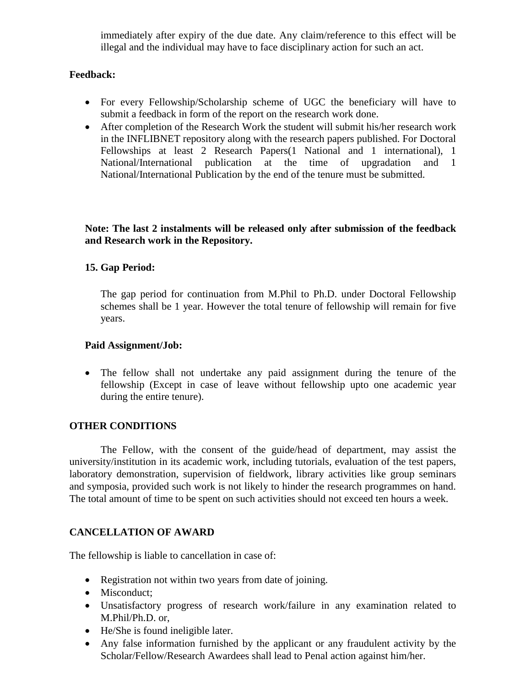immediately after expiry of the due date. Any claim/reference to this effect will be illegal and the individual may have to face disciplinary action for such an act.

# **Feedback:**

- For every Fellowship/Scholarship scheme of UGC the beneficiary will have to submit a feedback in form of the report on the research work done.
- After completion of the Research Work the student will submit his/her research work in the INFLIBNET repository along with the research papers published. For Doctoral Fellowships at least 2 Research Papers(1 National and 1 international), 1 National/International publication at the time of upgradation and 1 National/International Publication by the end of the tenure must be submitted.

## **Note: The last 2 instalments will be released only after submission of the feedback and Research work in the Repository.**

# **15. Gap Period:**

The gap period for continuation from M.Phil to Ph.D. under Doctoral Fellowship schemes shall be 1 year. However the total tenure of fellowship will remain for five years.

#### **Paid Assignment/Job:**

• The fellow shall not undertake any paid assignment during the tenure of the fellowship (Except in case of leave without fellowship upto one academic year during the entire tenure).

#### **OTHER CONDITIONS**

The Fellow, with the consent of the guide/head of department, may assist the university/institution in its academic work, including tutorials, evaluation of the test papers, laboratory demonstration, supervision of fieldwork, library activities like group seminars and symposia, provided such work is not likely to hinder the research programmes on hand. The total amount of time to be spent on such activities should not exceed ten hours a week.

#### **CANCELLATION OF AWARD**

The fellowship is liable to cancellation in case of:

- Registration not within two years from date of joining.
- Misconduct:
- Unsatisfactory progress of research work/failure in any examination related to M.Phil/Ph.D. or,
- He/She is found ineligible later.
- Any false information furnished by the applicant or any fraudulent activity by the Scholar/Fellow/Research Awardees shall lead to Penal action against him/her.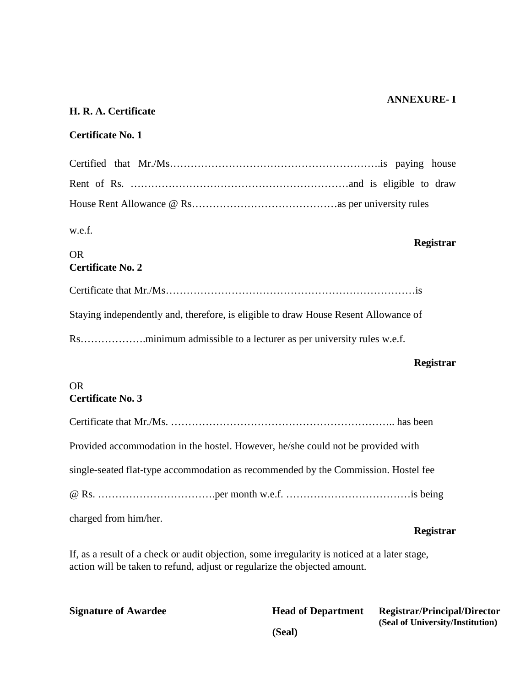#### **ANNEXURE- I**

# **H. R. A. Certificate**

# **Certificate No. 1**

| w.e.f.<br>Registrar                                                                 |
|-------------------------------------------------------------------------------------|
| <b>OR</b>                                                                           |
| <b>Certificate No. 2</b>                                                            |
|                                                                                     |
| Staying independently and, therefore, is eligible to draw House Resent Allowance of |

# **Registrar**

#### OR **Certificate No. 3**

|                                                                                    | Registrar |
|------------------------------------------------------------------------------------|-----------|
| charged from him/her.                                                              |           |
|                                                                                    |           |
| single-seated flat-type accommodation as recommended by the Commission. Hostel fee |           |
| Provided accommodation in the hostel. However, he/she could not be provided with   |           |
|                                                                                    |           |

If, as a result of a check or audit objection, some irregularity is noticed at a later stage, action will be taken to refund, adjust or regularize the objected amount.

| <b>Signature of Awardee</b> | <b>Head of Department</b> | <b>Registrar/Principal/Director</b> |
|-----------------------------|---------------------------|-------------------------------------|
|                             | (Seal)                    | (Seal of University/Institution)    |
|                             |                           |                                     |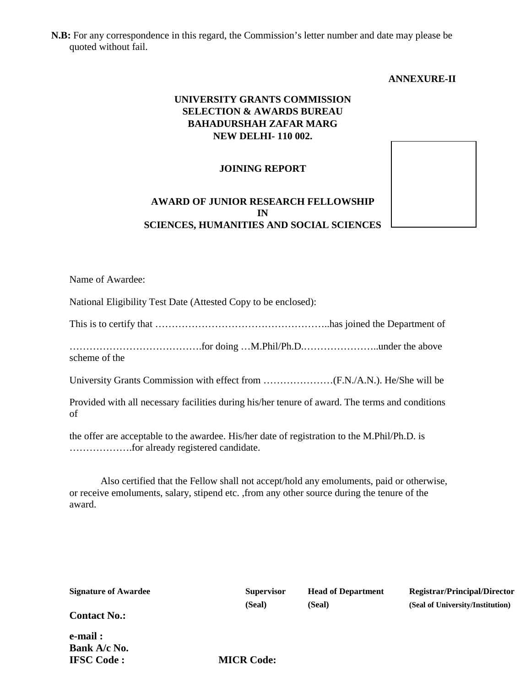**N.B:** For any correspondence in this regard, the Commission's letter number and date may please be quoted without fail.

#### **ANNEXURE-II**

# **UNIVERSITY GRANTS COMMISSION SELECTION & AWARDS BUREAU BAHADURSHAH ZAFAR MARG NEW DELHI- 110 002.**

#### **JOINING REPORT**

# **AWARD OF JUNIOR RESEARCH FELLOWSHIP IN SCIENCES, HUMANITIES AND SOCIAL SCIENCES**

Name of Awardee:

National Eligibility Test Date (Attested Copy to be enclosed):

This is to certify that ……………………………………………..has joined the Department of

………………………………….for doing …M.Phil/Ph.D.…………………..under the above scheme of the

University Grants Commission with effect from …………………(F.N./A.N.). He/She will be

Provided with all necessary facilities during his/her tenure of award. The terms and conditions of

the offer are acceptable to the awardee. His/her date of registration to the M.Phil/Ph.D. is ……………….for already registered candidate.

Also certified that the Fellow shall not accept/hold any emoluments, paid or otherwise, or receive emoluments, salary, stipend etc. ,from any other source during the tenure of the award.

| <b>Signature of Awardee</b> | <b>Supervisor</b> | <b>Head of Department</b> | <b>Registrar/Principal/Director</b> |
|-----------------------------|-------------------|---------------------------|-------------------------------------|
|                             | (Seal)            | (Seal)                    | (Seal of University/Institution)    |
| <b>Contact No.:</b>         |                   |                           |                                     |
| e-mail:                     |                   |                           |                                     |
| Bank A/c No.                |                   |                           |                                     |
| <b>IFSC Code:</b>           | <b>MICR Code:</b> |                           |                                     |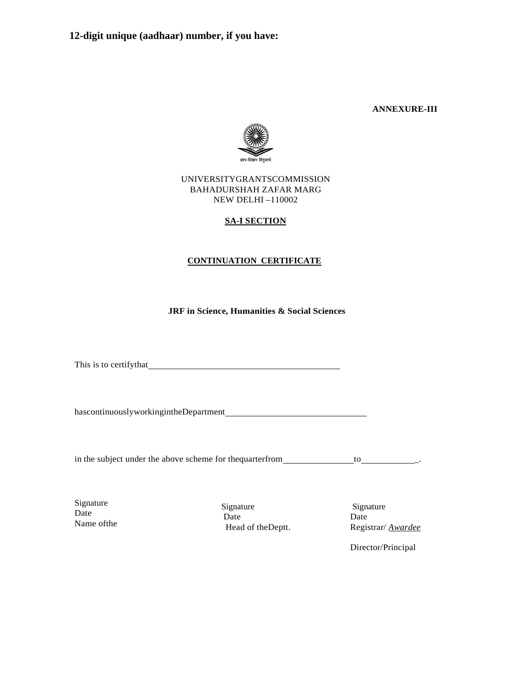**ANNEXURE-III**



#### UNIVERSITYGRANTSCOMMISSION BAHADURSHAH ZAFAR MARG NEW DELHI –110002

#### **SA-I SECTION**

#### **CONTINUATION CERTIFICATE**

**JRF in Science, Humanities & Social Sciences**

This is to certifythat

hascontinuouslyworkingintheDepartment

in the subject under the above scheme for thequarterfrom to \_.

Signature Date Name ofthe

Signature Date Head of theDeptt.

Signature Date Registrar/ *Awardee*

Director/Principal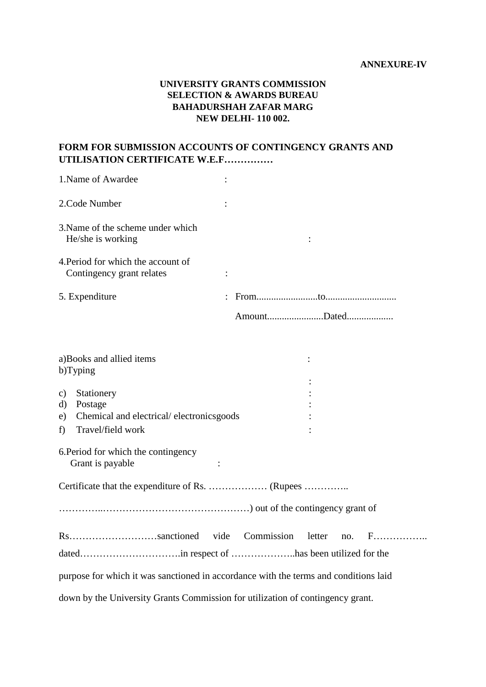#### **ANNEXURE-IV**

# **UNIVERSITY GRANTS COMMISSION SELECTION & AWARDS BUREAU BAHADURSHAH ZAFAR MARG NEW DELHI- 110 002.**

# **FORM FOR SUBMISSION ACCOUNTS OF CONTINGENCY GRANTS AND UTILISATION CERTIFICATE W.E.F……………**

| 1. Name of Awardee                                              |             |
|-----------------------------------------------------------------|-------------|
| 2. Code Number                                                  |             |
| 3. Name of the scheme under which<br>He/she is working          |             |
| 4. Period for which the account of<br>Contingency grant relates | ٠           |
| 5. Expenditure                                                  |             |
|                                                                 | AmountDated |

|                               | a)Books and allied items<br>b)Typing                                                   |
|-------------------------------|----------------------------------------------------------------------------------------|
|                               |                                                                                        |
| c)<br>$\mathbf{d}$<br>e)<br>f | Stationery<br>Postage<br>Chemical and electrical/electronicsgoods<br>Travel/field work |
|                               | 6. Period for which the contingency<br>Grant is payable                                |
|                               |                                                                                        |
|                               |                                                                                        |
|                               | Rssanctioned vide<br>Commission                                                        |
|                               |                                                                                        |
|                               | purpose for which it was sanctioned in accordance with the terms and conditions laid   |
|                               | down by the University Grants Commission for utilization of contingency grant.         |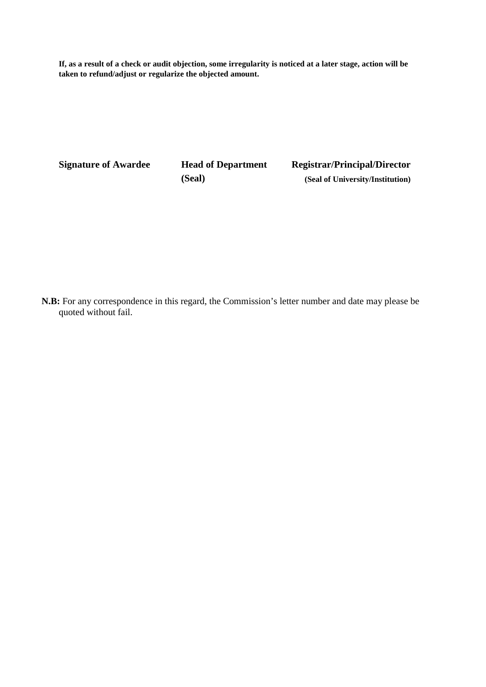**If, as a result of a check or audit objection, some irregularity is noticed at a later stage, action will be taken to refund/adjust or regularize the objected amount.**

**Signature of Awardee Head of Department Registrar/Principal/Director (Seal) (Seal of University/Institution)**

**N.B:** For any correspondence in this regard, the Commission's letter number and date may please be quoted without fail.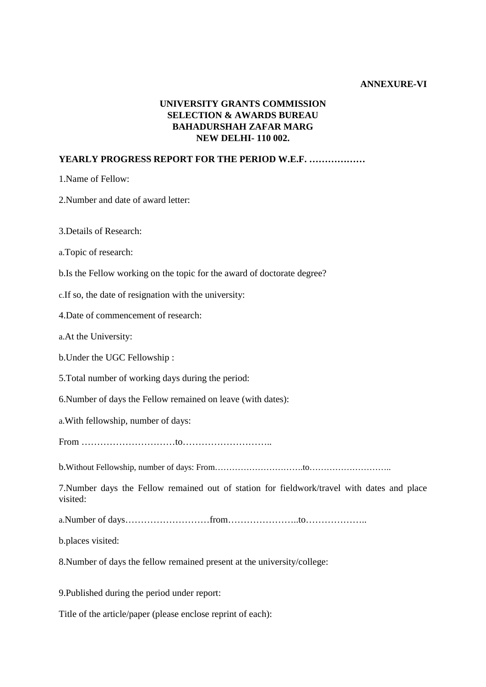#### **ANNEXURE-VI**

# **UNIVERSITY GRANTS COMMISSION SELECTION & AWARDS BUREAU BAHADURSHAH ZAFAR MARG NEW DELHI- 110 002.**

## **YEARLY PROGRESS REPORT FOR THE PERIOD W.E.F. ………………**

1.Name of Fellow:

2.Number and date of award letter:

3.Details of Research:

a.Topic of research:

b.Is the Fellow working on the topic for the award of doctorate degree?

c.If so, the date of resignation with the university:

4.Date of commencement of research:

a.At the University:

b.Under the UGC Fellowship :

5.Total number of working days during the period:

6.Number of days the Fellow remained on leave (with dates):

a.With fellowship, number of days:

From …………………………to………………………..

b.Without Fellowship, number of days: From………………………….to………………………..

7.Number days the Fellow remained out of station for fieldwork/travel with dates and place visited:

a.Number of days………………………from…………………..to………………..

b.places visited:

8.Number of days the fellow remained present at the university/college:

9.Published during the period under report:

Title of the article/paper (please enclose reprint of each):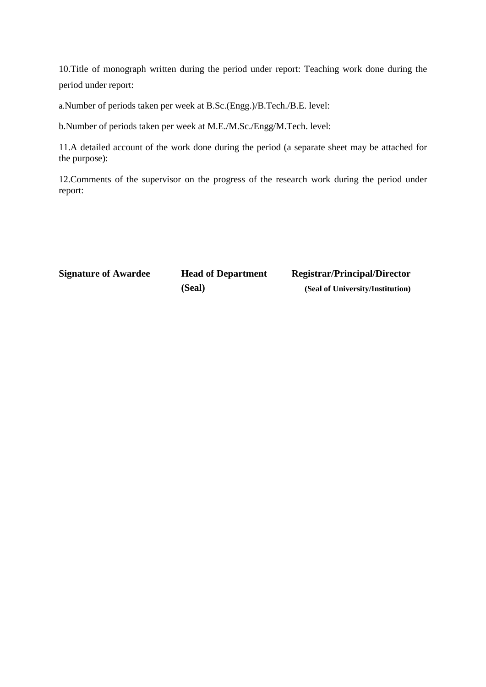10.Title of monograph written during the period under report: Teaching work done during the period under report:

a.Number of periods taken per week at B.Sc.(Engg.)/B.Tech./B.E. level:

b.Number of periods taken per week at M.E./M.Sc./Engg/M.Tech. level:

11.A detailed account of the work done during the period (a separate sheet may be attached for the purpose):

12.Comments of the supervisor on the progress of the research work during the period under report:

**Signature of Awardee Head of Department Registrar/Principal/Director (Seal) (Seal of University/Institution)**